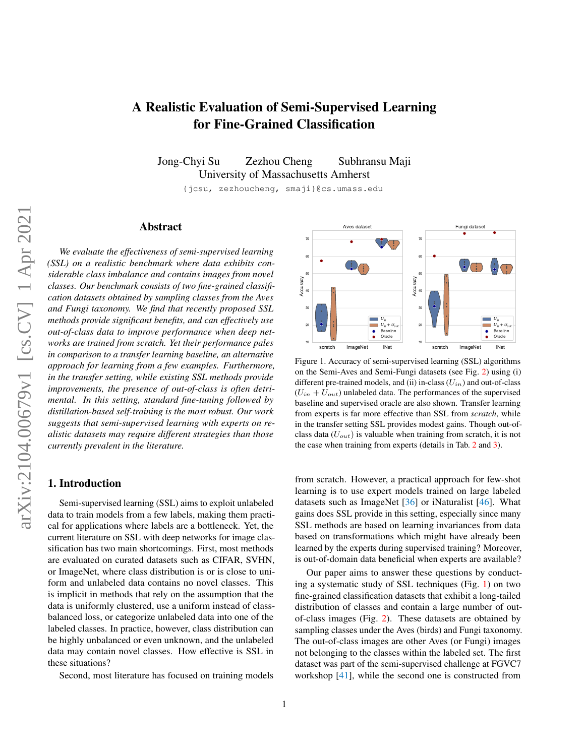# <span id="page-0-1"></span>A Realistic Evaluation of Semi-Supervised Learning for Fine-Grained Classification

Jong-Chyi Su Zezhou Cheng Subhransu Maji University of Massachusetts Amherst

{jcsu, zezhoucheng, smaji}@cs.umass.edu

# Abstract

*We evaluate the effectiveness of semi-supervised learning (SSL) on a realistic benchmark where data exhibits considerable class imbalance and contains images from novel classes. Our benchmark consists of two fine-grained classification datasets obtained by sampling classes from the Aves and Fungi taxonomy. We find that recently proposed SSL methods provide significant benefits, and can effectively use out-of-class data to improve performance when deep networks are trained from scratch. Yet their performance pales in comparison to a transfer learning baseline, an alternative approach for learning from a few examples. Furthermore, in the transfer setting, while existing SSL methods provide improvements, the presence of out-of-class is often detrimental. In this setting, standard fine-tuning followed by distillation-based self-training is the most robust. Our work suggests that semi-supervised learning with experts on realistic datasets may require different strategies than those currently prevalent in the literature.*

# 1. Introduction

Semi-supervised learning (SSL) aims to exploit unlabeled data to train models from a few labels, making them practical for applications where labels are a bottleneck. Yet, the current literature on SSL with deep networks for image classification has two main shortcomings. First, most methods are evaluated on curated datasets such as CIFAR, SVHN, or ImageNet, where class distribution is or is close to uniform and unlabeled data contains no novel classes. This is implicit in methods that rely on the assumption that the data is uniformly clustered, use a uniform instead of classbalanced loss, or categorize unlabeled data into one of the labeled classes. In practice, however, class distribution can be highly unbalanced or even unknown, and the unlabeled data may contain novel classes. How effective is SSL in these situations?

Second, most literature has focused on training models



<span id="page-0-0"></span>Figure 1. Accuracy of semi-supervised learning (SSL) algorithms on the Semi-Aves and Semi-Fungi datasets (see Fig. [2\)](#page-1-0) using (i) different pre-trained models, and (ii) in-class  $(U_{in})$  and out-of-class  $(U_{in} + U_{out})$  unlabeled data. The performances of the supervised baseline and supervised oracle are also shown. Transfer learning from experts is far more effective than SSL from *scratch*, while in the transfer setting SSL provides modest gains. Though out-ofclass data  $(U_{out})$  is valuable when training from scratch, it is not the case when training from experts (details in Tab. [2](#page-5-0) and [3\)](#page-5-1).

from scratch. However, a practical approach for few-shot learning is to use expert models trained on large labeled datasets such as ImageNet [\[36\]](#page-11-0) or iNaturalist [\[46\]](#page-11-1). What gains does SSL provide in this setting, especially since many SSL methods are based on learning invariances from data based on transformations which might have already been learned by the experts during supervised training? Moreover, is out-of-domain data beneficial when experts are available?

Our paper aims to answer these questions by conducting a systematic study of SSL techniques (Fig. [1\)](#page-0-0) on two fine-grained classification datasets that exhibit a long-tailed distribution of classes and contain a large number of outof-class images (Fig. [2\)](#page-1-0). These datasets are obtained by sampling classes under the Aves (birds) and Fungi taxonomy. The out-of-class images are other Aves (or Fungi) images not belonging to the classes within the labeled set. The first dataset was part of the semi-supervised challenge at FGVC7 workshop [\[41\]](#page-11-2), while the second one is constructed from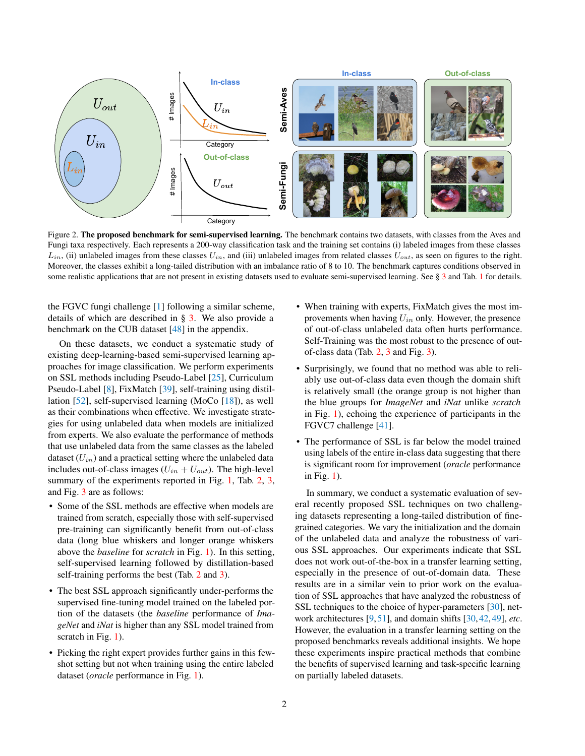<span id="page-1-1"></span>

<span id="page-1-0"></span>Figure 2. The proposed benchmark for semi-supervised learning. The benchmark contains two datasets, with classes from the Aves and Fungi taxa respectively. Each represents a 200-way classification task and the training set contains (i) labeled images from these classes  $L_{in}$ , (ii) unlabeled images from these classes  $U_{in}$ , and (iii) unlabeled images from related classes  $U_{out}$ , as seen on figures to the right. Moreover, the classes exhibit a long-tailed distribution with an imbalance ratio of 8 to 10. The benchmark captures conditions observed in some realistic applications that are not present in existing datasets used to evaluate semi-supervised learning. See § [3](#page-2-0) and Tab. [1](#page-3-0) for details.

benchmark on the CUB dataset [\[48\]](#page-11-3) in the appendix. the FGVC fungi challenge [\[1\]](#page-10-0) following a similar scheme, details of which are described in  $\S$  [3.](#page-2-0) We also provide a

existing deep-learning-based semi-supervised learning approaches for image classification. We perform experiments on SSL methods including Pseudo-Label [\[25\]](#page-11-4), Curriculum On these datasets, we conduct a systematic study of Pseudo-Label [\[8\]](#page-10-1), FixMatch [\[39\]](#page-11-5), self-training using distillation [\[52\]](#page-12-0), self-supervised learning (MoCo [\[18\]](#page-11-6)), as well as their combinations when effective. We investigate strategies for using unlabeled data when models are initialized from experts. We also evaluate the performance of methods that use unlabeled data from the same classes as the labeled dataset  $(U_{in})$  and a practical setting where the unlabeled data includes out-of-class images  $(U_{in} + U_{out})$ . The high-level summary of the experiments reported in Fig. [1,](#page-0-0) Tab. [2,](#page-5-0) [3,](#page-5-1) and Fig. [3](#page-7-0) are as follows:

- Some of the SSL methods are effective when models are trained from scratch, especially those with self-supervised pre-training can significantly benefit from out-of-class data (long blue whiskers and longer orange whiskers above the *baseline* for *scratch* in Fig. [1\)](#page-0-0). In this setting, self-supervised learning followed by distillation-based self-training performs the best (Tab. [2](#page-5-0) and [3\)](#page-5-1).
- The best SSL approach significantly under-performs the supervised fine-tuning model trained on the labeled portion of the datasets (the *baseline* performance of *ImageNet* and *iNat* is higher than any SSL model trained from scratch in Fig. [1\)](#page-0-0).
- Picking the right expert provides further gains in this fewshot setting but not when training using the entire labeled dataset (*oracle* performance in Fig. [1\)](#page-0-0).
- When training with experts, FixMatch gives the most improvements when having  $U_{in}$  only. However, the presence of out-of-class unlabeled data often hurts performance. Self-Training was the most robust to the presence of outof-class data (Tab. [2,](#page-5-0) [3](#page-5-1) and Fig. [3\)](#page-7-0).
- Surprisingly, we found that no method was able to reliably use out-of-class data even though the domain shift is relatively small (the orange group is not higher than the blue groups for *ImageNet* and *iNat* unlike *scratch* in Fig. [1\)](#page-0-0), echoing the experience of participants in the FGVC7 challenge [\[41\]](#page-11-2).
- The performance of SSL is far below the model trained using labels of the entire in-class data suggesting that there is significant room for improvement (*oracle* performance in Fig. [1\)](#page-0-0).

In summary, we conduct a systematic evaluation of several recently proposed SSL techniques on two challenging datasets representing a long-tailed distribution of finegrained categories. We vary the initialization and the domain of the unlabeled data and analyze the robustness of various SSL approaches. Our experiments indicate that SSL does not work out-of-the-box in a transfer learning setting, especially in the presence of out-of-domain data. These results are in a similar vein to prior work on the evaluation of SSL approaches that have analyzed the robustness of SSL techniques to the choice of hyper-parameters [\[30\]](#page-11-7), network architectures [\[9,](#page-10-2) [51\]](#page-11-8), and domain shifts [\[30,](#page-11-7) [42,](#page-11-9) [49\]](#page-11-10), *etc*. However, the evaluation in a transfer learning setting on the proposed benchmarks reveals additional insights. We hope these experiments inspire practical methods that combine the benefits of supervised learning and task-specific learning on partially labeled datasets.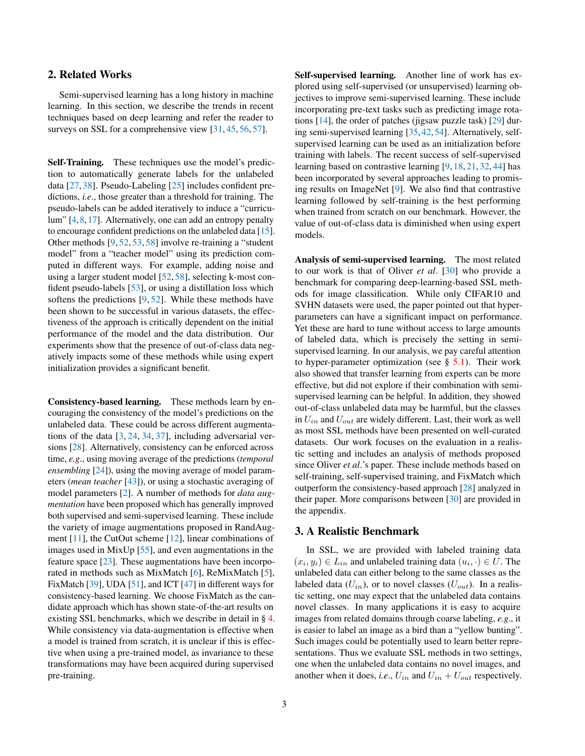# <span id="page-2-1"></span>2. Related Works

Semi-supervised learning has a long history in machine learning. In this section, we describe the trends in recent techniques based on deep learning and refer the reader to surveys on SSL for a comprehensive view [\[31,](#page-11-11) [45,](#page-11-12) [56,](#page-12-1) [57\]](#page-12-2).

Self-Training. These techniques use the model's prediction to automatically generate labels for the unlabeled data [\[27,](#page-11-13) [38\]](#page-11-14). Pseudo-Labeling [\[25\]](#page-11-4) includes confident predictions, *i.e*., those greater than a threshold for training. The pseudo-labels can be added iteratively to induce a "curriculum" [\[4,](#page-10-3)[8,](#page-10-1)[17\]](#page-10-4). Alternatively, one can add an entropy penalty to encourage confident predictions on the unlabeled data [\[15\]](#page-10-5). Other methods [\[9,](#page-10-2) [52,](#page-12-0) [53,](#page-12-3) [58\]](#page-12-4) involve re-training a "student model" from a "teacher model" using its prediction computed in different ways. For example, adding noise and using a larger student model [\[52,](#page-12-0) [58\]](#page-12-4), selecting k-most confident pseudo-labels [\[53\]](#page-12-3), or using a distillation loss which softens the predictions [\[9,](#page-10-2) [52\]](#page-12-0). While these methods have been shown to be successful in various datasets, the effectiveness of the approach is critically dependent on the initial performance of the model and the data distribution. Our experiments show that the presence of out-of-class data negatively impacts some of these methods while using expert initialization provides a significant benefit.

Consistency-based learning. These methods learn by encouraging the consistency of the model's predictions on the unlabeled data. These could be across different augmentations of the data [\[3,](#page-10-6) [24,](#page-11-15) [34,](#page-11-16) [37\]](#page-11-17), including adversarial versions [\[28\]](#page-11-18). Alternatively, consistency can be enforced across time, *e.g*., using moving average of the predictions (*temporal ensembling* [\[24\]](#page-11-15)), using the moving average of model parameters (*mean teacher* [\[43\]](#page-11-19)), or using a stochastic averaging of model parameters [\[2\]](#page-10-7). A number of methods for *data augmentation* have been proposed which has generally improved both supervised and semi-supervised learning. These include the variety of image augmentations proposed in RandAugment  $[11]$ , the CutOut scheme  $[12]$ , linear combinations of images used in MixUp [\[55\]](#page-12-5), and even augmentations in the feature space  $[23]$ . These augmentations have been incorporated in methods such as MixMatch [\[6\]](#page-10-10), ReMixMatch [\[5\]](#page-10-11), FixMatch [\[39\]](#page-11-5), UDA [\[51\]](#page-11-8), and ICT [\[47\]](#page-11-21) in different ways for consistency-based learning. We choose FixMatch as the candidate approach which has shown state-of-the-art results on existing SSL benchmarks, which we describe in detail in § [4.](#page-3-1) While consistency via data-augmentation is effective when a model is trained from scratch, it is unclear if this is effective when using a pre-trained model, as invariance to these transformations may have been acquired during supervised pre-training.

Self-supervised learning. Another line of work has explored using self-supervised (or unsupervised) learning objectives to improve semi-supervised learning. These include incorporating pre-text tasks such as predicting image rotations [\[14\]](#page-10-12), the order of patches (jigsaw puzzle task) [\[29\]](#page-11-22) during semi-supervised learning [\[35,](#page-11-23) [42,](#page-11-9) [54\]](#page-12-6). Alternatively, selfsupervised learning can be used as an initialization before training with labels. The recent success of self-supervised learning based on contrastive learning [\[9,](#page-10-2) [18,](#page-11-6) [21,](#page-11-24) [32,](#page-11-25) [44\]](#page-11-26) has been incorporated by several approaches leading to promising results on ImageNet [\[9\]](#page-10-2). We also find that contrastive learning followed by self-training is the best performing when trained from scratch on our benchmark. However, the value of out-of-class data is diminished when using expert models.

Analysis of semi-supervised learning. The most related to our work is that of Oliver *et al*. [\[30\]](#page-11-7) who provide a benchmark for comparing deep-learning-based SSL methods for image classification. While only CIFAR10 and SVHN datasets were used, the paper pointed out that hyperparameters can have a significant impact on performance. Yet these are hard to tune without access to large amounts of labeled data, which is precisely the setting in semisupervised learning. In our analysis, we pay careful attention to hyper-parameter optimization (see  $\S$  [5.1\)](#page-4-0). Their work also showed that transfer learning from experts can be more effective, but did not explore if their combination with semisupervised learning can be helpful. In addition, they showed out-of-class unlabeled data may be harmful, but the classes in  $U_{in}$  and  $U_{out}$  are widely different. Last, their work as well as most SSL methods have been presented on well-curated datasets. Our work focuses on the evaluation in a realistic setting and includes an analysis of methods proposed since Oliver *et al*.'s paper. These include methods based on self-training, self-supervised training, and FixMatch which outperform the consistency-based approach [\[28\]](#page-11-18) analyzed in their paper. More comparisons between [\[30\]](#page-11-7) are provided in the appendix.

### <span id="page-2-0"></span>3. A Realistic Benchmark

In SSL, we are provided with labeled training data  $(x_i, y_i) \in L_{in}$  and unlabeled training data  $(u_i, \cdot) \in U$ . The unlabeled data can either belong to the same classes as the labeled data  $(U_{in})$ , or to novel classes  $(U_{out})$ . In a realistic setting, one may expect that the unlabeled data contains novel classes. In many applications it is easy to acquire images from related domains through coarse labeling, *e.g*., it is easier to label an image as a bird than a "yellow bunting". Such images could be potentially used to learn better representations. Thus we evaluate SSL methods in two settings, one when the unlabeled data contains no novel images, and another when it does, *i.e.*,  $U_{in}$  and  $U_{in} + U_{out}$  respectively.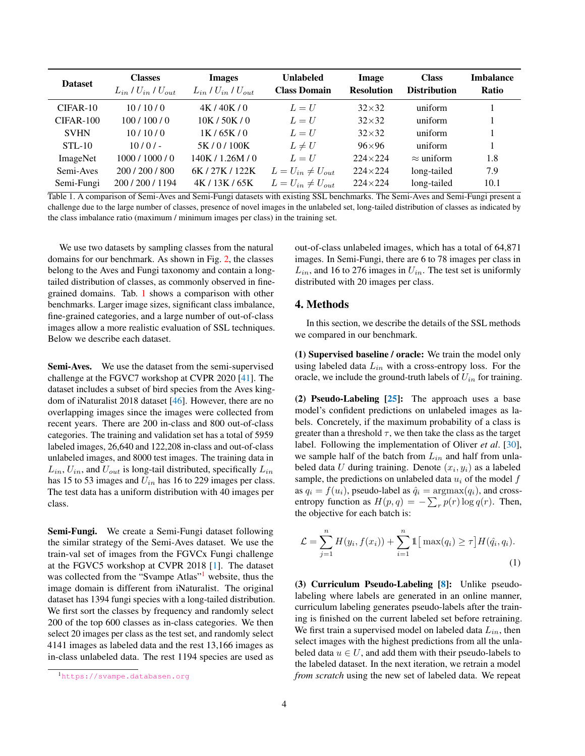<span id="page-3-3"></span>

| <b>Dataset</b> | <b>Classes</b><br>$L_{in}$ / $U_{in}$ / $U_{out}$ | <b>Images</b><br>$L_{in}$ / $U_{in}$ / $U_{out}$ | <b>Unlabeled</b><br><b>Class Domain</b> | Image<br><b>Resolution</b> | <b>Class</b><br><b>Distribution</b> | <b>Imbalance</b><br><b>Ratio</b> |
|----------------|---------------------------------------------------|--------------------------------------------------|-----------------------------------------|----------------------------|-------------------------------------|----------------------------------|
| $CIFAR-10$     | 10/10/0                                           | 4K/40K/0                                         | $L = U$                                 | $32\times32$               | uniform                             |                                  |
| CIFAR-100      | 100/100/0                                         | 10K / 50K / 0                                    | $L = U$                                 | $32\times32$               | uniform                             |                                  |
| <b>SVHN</b>    | 10/10/0                                           | 1K/65K/0                                         | $L = U$                                 | $32\times32$               | uniform                             |                                  |
| $STL-10$       | $10/0/-$                                          | 5K/0/100K                                        | $L \neq U$                              | $96\times96$               | uniform                             |                                  |
| ImageNet       | 1000/1000/0                                       | 140K / 1.26M / 0                                 | $L=U$                                   | $224\times224$             | $\approx$ uniform                   | 1.8                              |
| Semi-Aves      | 200 / 200 / 800                                   | 6K/27K/122K                                      | $L = U_{in} \neq U_{out}$               | $224 \times 224$           | long-tailed                         | 7.9                              |
| Semi-Fungi     | 200/200/1194                                      | 4K/13K/65K                                       | $L = U_{in} \neq U_{out}$               | $224 \times 224$           | long-tailed                         | 10.1                             |

<span id="page-3-0"></span>Table 1. A comparison of Semi-Aves and Semi-Fungi datasets with existing SSL benchmarks. The Semi-Aves and Semi-Fungi present a challenge due to the large number of classes, presence of novel images in the unlabeled set, long-tailed distribution of classes as indicated by the class imbalance ratio (maximum / minimum images per class) in the training set.

We use two datasets by sampling classes from the natural domains for our benchmark. As shown in Fig. [2,](#page-1-0) the classes belong to the Aves and Fungi taxonomy and contain a longtailed distribution of classes, as commonly observed in finegrained domains. Tab. [1](#page-3-0) shows a comparison with other benchmarks. Larger image sizes, significant class imbalance, fine-grained categories, and a large number of out-of-class images allow a more realistic evaluation of SSL techniques. Below we describe each dataset.

Semi-Aves. We use the dataset from the semi-supervised challenge at the FGVC7 workshop at CVPR 2020 [\[41\]](#page-11-2). The dataset includes a subset of bird species from the Aves kingdom of iNaturalist 2018 dataset [\[46\]](#page-11-1). However, there are no overlapping images since the images were collected from recent years. There are 200 in-class and 800 out-of-class categories. The training and validation set has a total of 5959 labeled images, 26,640 and 122,208 in-class and out-of-class unlabeled images, and 8000 test images. The training data in  $L_{in}$ ,  $U_{in}$ , and  $U_{out}$  is long-tail distributed, specifically  $L_{in}$ has 15 to 53 images and  $U_{in}$  has 16 to 229 images per class. The test data has a uniform distribution with 40 images per class.

Semi-Fungi. We create a Semi-Fungi dataset following the similar strategy of the Semi-Aves dataset. We use the train-val set of images from the FGVCx Fungi challenge at the FGVC5 workshop at CVPR 2018 [\[1\]](#page-10-0). The dataset was collected from the "Svampe Atlas"<sup>[1](#page-3-2)</sup> website, thus the image domain is different from iNaturalist. The original dataset has 1394 fungi species with a long-tailed distribution. We first sort the classes by frequency and randomly select 200 of the top 600 classes as in-class categories. We then select 20 images per class as the test set, and randomly select 4141 images as labeled data and the rest 13,166 images as in-class unlabeled data. The rest 1194 species are used as

out-of-class unlabeled images, which has a total of 64,871 images. In Semi-Fungi, there are 6 to 78 images per class in  $L_{in}$ , and 16 to 276 images in  $U_{in}$ . The test set is uniformly distributed with 20 images per class.

### <span id="page-3-1"></span>4. Methods

In this section, we describe the details of the SSL methods we compared in our benchmark.

(1) Supervised baseline / oracle: We train the model only using labeled data  $L_{in}$  with a cross-entropy loss. For the oracle, we include the ground-truth labels of  $U_{in}$  for training.

(2) Pseudo-Labeling  $[25]$ : The approach uses a base model's confident predictions on unlabeled images as labels. Concretely, if the maximum probability of a class is greater than a threshold  $\tau$ , we then take the class as the target label. Following the implementation of Oliver *et al*. [\[30\]](#page-11-7), we sample half of the batch from  $L_{in}$  and half from unlabeled data U during training. Denote  $(x_i, y_i)$  as a labeled sample, the predictions on unlabeled data  $u_i$  of the model  $f$ as  $q_i = f(u_i)$ , pseudo-label as  $\hat{q}_i = \text{argmax}(q_i)$ , and crossentropy function as  $H(p,q) = -\sum_{r} p(r) \log q(r)$ . Then, the objective for each batch is:

$$
\mathcal{L} = \sum_{j=1}^{n} H(y_i, f(x_i)) + \sum_{i=1}^{n} \mathbb{1} \left[ \max(q_i) \ge \tau \right] H(\hat{q}_i, q_i).
$$
\n(1)

(3) Curriculum Pseudo-Labeling [\[8\]](#page-10-1): Unlike pseudolabeling where labels are generated in an online manner, curriculum labeling generates pseudo-labels after the training is finished on the current labeled set before retraining. We first train a supervised model on labeled data  $L_{in}$ , then select images with the highest predictions from all the unlabeled data  $u \in U$ , and add them with their pseudo-labels to the labeled dataset. In the next iteration, we retrain a model *from scratch* using the new set of labeled data. We repeat

<span id="page-3-2"></span><sup>1</sup><https://svampe.databasen.org>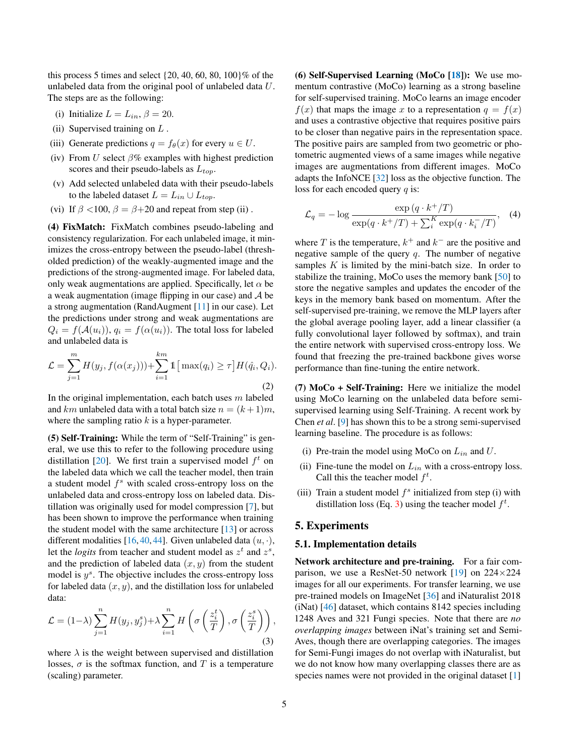<span id="page-4-2"></span>this process 5 times and select  $\{20, 40, 60, 80, 100\}\%$  of the unlabeled data from the original pool of unlabeled data U. The steps are as the following:

- (i) Initialize  $L = L_{in}$ ,  $\beta = 20$ .
- (ii) Supervised training on  $L$ .
- (iii) Generate predictions  $q = f_{\theta}(x)$  for every  $u \in U$ .
- (iv) From U select  $\beta\%$  examples with highest prediction scores and their pseudo-labels as  $L_{top}$ .
- (v) Add selected unlabeled data with their pseudo-labels to the labeled dataset  $L = L_{in} \cup L_{top}$ .
- (vi) If  $\beta$  <100,  $\beta = \beta + 20$  and repeat from step (ii).

(4) FixMatch: FixMatch combines pseudo-labeling and consistency regularization. For each unlabeled image, it minimizes the cross-entropy between the pseudo-label (thresholded prediction) of the weakly-augmented image and the predictions of the strong-augmented image. For labeled data, only weak augmentations are applied. Specifically, let  $\alpha$  be a weak augmentation (image flipping in our case) and  $A$  be a strong augmentation (RandAugment [\[11\]](#page-10-8) in our case). Let the predictions under strong and weak augmentations are  $Q_i = f(A(u_i)), q_i = f(\alpha(u_i)).$  The total loss for labeled and unlabeled data is

$$
\mathcal{L} = \sum_{j=1}^{m} H(y_j, f(\alpha(x_j))) + \sum_{i=1}^{km} \mathbb{1} \left[ \max(q_i) \ge \tau \right] H(\hat{q}_i, Q_i).
$$
\n(2)

In the original implementation, each batch uses  $m$  labeled and km unlabeled data with a total batch size  $n = (k+1)m$ , where the sampling ratio  $k$  is a hyper-parameter.

(5) Self-Training: While the term of "Self-Training" is general, we use this to refer to the following procedure using distillation [\[20\]](#page-11-27). We first train a supervised model  $f<sup>t</sup>$  on the labeled data which we call the teacher model, then train a student model  $f<sup>s</sup>$  with scaled cross-entropy loss on the unlabeled data and cross-entropy loss on labeled data. Distillation was originally used for model compression [\[7\]](#page-10-13), but has been shown to improve the performance when training the student model with the same architecture [\[13\]](#page-10-14) or across different modalities [\[16,](#page-10-15) [40,](#page-11-28) [44\]](#page-11-26). Given unlabeled data  $(u, \cdot)$ , let the *logits* from teacher and student model as  $z<sup>t</sup>$  and  $z<sup>s</sup>$ , and the prediction of labeled data  $(x, y)$  from the student model is  $y^s$ . The objective includes the cross-entropy loss for labeled data  $(x, y)$ , and the distillation loss for unlabeled data:

<span id="page-4-1"></span>
$$
\mathcal{L} = (1 - \lambda) \sum_{j=1}^{n} H(y_j, y_j^s) + \lambda \sum_{i=1}^{n} H\left(\sigma\left(\frac{z_i^t}{T}\right), \sigma\left(\frac{z_i^s}{T}\right)\right),\tag{3}
$$

where  $\lambda$  is the weight between supervised and distillation losses,  $\sigma$  is the softmax function, and T is a temperature (scaling) parameter.

(6) Self-Supervised Learning (MoCo  $[18]$ ): We use momentum contrastive (MoCo) learning as a strong baseline for self-supervised training. MoCo learns an image encoder  $f(x)$  that maps the image x to a representation  $q = f(x)$ and uses a contrastive objective that requires positive pairs to be closer than negative pairs in the representation space. The positive pairs are sampled from two geometric or photometric augmented views of a same images while negative images are augmentations from different images. MoCo adapts the InfoNCE [\[32\]](#page-11-25) loss as the objective function. The loss for each encoded query  $q$  is:

$$
\mathcal{L}_q = -\log \frac{\exp (q \cdot k^+/T)}{\exp(q \cdot k^+/T) + \sum_{i=1}^K \exp(q \cdot k_i^-/T)}, \quad (4)
$$

where T is the temperature,  $k^+$  and  $k^-$  are the positive and negative sample of the query  $q$ . The number of negative samples  $K$  is limited by the mini-batch size. In order to stabilize the training, MoCo uses the memory bank [\[50\]](#page-11-29) to store the negative samples and updates the encoder of the keys in the memory bank based on momentum. After the self-supervised pre-training, we remove the MLP layers after the global average pooling layer, add a linear classifier (a fully convolutional layer followed by softmax), and train the entire network with supervised cross-entropy loss. We found that freezing the pre-trained backbone gives worse performance than fine-tuning the entire network.

(7)  $MoCo + Self-Training:$  Here we initialize the model using MoCo learning on the unlabeled data before semisupervised learning using Self-Training. A recent work by Chen *et al*. [\[9\]](#page-10-2) has shown this to be a strong semi-supervised learning baseline. The procedure is as follows:

- (i) Pre-train the model using MoCo on  $L_{in}$  and  $U$ .
- (ii) Fine-tune the model on  $L_{in}$  with a cross-entropy loss. Call this the teacher model  $f^t$ .
- (iii) Train a student model  $f<sup>s</sup>$  initialized from step (i) with distillation loss (Eq. [3\)](#page-4-1) using the teacher model  $f^t$ .

## 5. Experiments

#### <span id="page-4-0"></span>5.1. Implementation details

Network architecture and pre-training. For a fair comparison, we use a ResNet-50 network  $[19]$  on  $224\times224$ images for all our experiments. For transfer learning, we use pre-trained models on ImageNet [\[36\]](#page-11-0) and iNaturalist 2018 (iNat) [\[46\]](#page-11-1) dataset, which contains 8142 species including 1248 Aves and 321 Fungi species. Note that there are *no overlapping images* between iNat's training set and Semi-Aves, though there are overlapping categories. The images for Semi-Fungi images do not overlap with iNaturalist, but we do not know how many overlapping classes there are as species names were not provided in the original dataset [\[1\]](#page-10-0)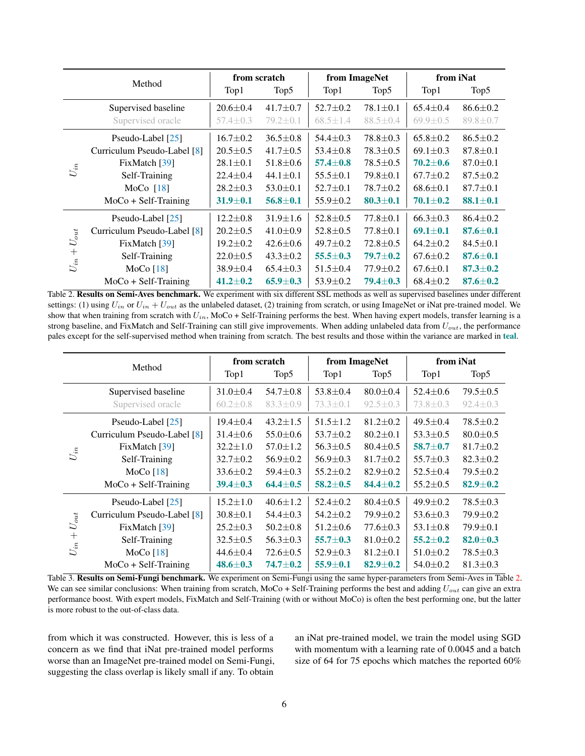<span id="page-5-2"></span>

| Method                             |                             |                | from scratch     |                | from ImageNet  | from iNat      |                |
|------------------------------------|-----------------------------|----------------|------------------|----------------|----------------|----------------|----------------|
|                                    |                             |                | Top <sub>5</sub> | Top1           | Top5           | Top1           | Top5           |
|                                    | Supervised baseline         | $20.6 \pm 0.4$ | $41.7 \pm 0.7$   | $52.7 \pm 0.2$ | $78.1 \pm 0.1$ | $65.4 \pm 0.4$ | $86.6 \pm 0.2$ |
|                                    | Supervised oracle           | $57.4 \pm 0.3$ | $79.2 \pm 0.1$   | $68.5 \pm 1.4$ | $88.5 \pm 0.4$ | $69.9 \pm 0.5$ | $89.8 \pm 0.7$ |
|                                    | Pseudo-Label [25]           | $16.7 + 0.2$   | $36.5 \pm 0.8$   | $54.4 \pm 0.3$ | $78.8 \pm 0.3$ | $65.8 \pm 0.2$ | $86.5 \pm 0.2$ |
|                                    | Curriculum Pseudo-Label [8] | $20.5 \pm 0.5$ | $41.7 \pm 0.5$   | $53.4 \pm 0.8$ | $78.3 \pm 0.5$ | $69.1 \pm 0.3$ | $87.8 \pm 0.1$ |
|                                    | FixMatch [39]               | $28.1 \pm 0.1$ | $51.8 \pm 0.6$   | $57.4 \pm 0.8$ | $78.5 \pm 0.5$ | $70.2 \pm 0.6$ | $87.0 \pm 0.1$ |
| $\mathcal{U}_{in}$                 | Self-Training               | $22.4 \pm 0.4$ | $44.1 \pm 0.1$   | $55.5 \pm 0.1$ | $79.8 \pm 0.1$ | $67.7 \pm 0.2$ | $87.5 \pm 0.2$ |
|                                    | MoCo $[18]$                 | $28.2 \pm 0.3$ | $53.0 \pm 0.1$   | $52.7 \pm 0.1$ | $78.7 \pm 0.2$ | $68.6 \pm 0.1$ | $87.7 \pm 0.1$ |
|                                    | $MoCo + Self-Training$      | $31.9 \pm 0.1$ | $56.8 \pm 0.1$   | $55.9 \pm 0.2$ | $80.3 \pm 0.1$ | $70.1 \pm 0.2$ | $88.1 \pm 0.1$ |
|                                    | Pseudo-Label [25]           | $12.2 \pm 0.8$ | $31.9 \pm 1.6$   | $52.8 \pm 0.5$ | $77.8 \pm 0.1$ | $66.3 \pm 0.3$ | $86.4 \pm 0.2$ |
|                                    | Curriculum Pseudo-Label [8] | $20.2 \pm 0.5$ | $41.0 \pm 0.9$   | $52.8 \pm 0.5$ | $77.8 \pm 0.1$ | $69.1 \pm 0.1$ | $87.6 \pm 0.1$ |
| $U_{out}$<br>$\ddot{}$<br>$U_{in}$ | FixMatch [39]               | $19.2 \pm 0.2$ | $42.6 \pm 0.6$   | $49.7 \pm 0.2$ | $72.8 \pm 0.5$ | $64.2 \pm 0.2$ | $84.5 \pm 0.1$ |
|                                    | Self-Training               | $22.0 \pm 0.5$ | $43.3 \pm 0.2$   | $55.5 \pm 0.3$ | $79.7 \pm 0.2$ | $67.6 \pm 0.2$ | $87.6 \pm 0.1$ |
|                                    | MoCo $[18]$                 | $38.9 \pm 0.4$ | $65.4 \pm 0.3$   | $51.5 \pm 0.4$ | $77.9 \pm 0.2$ | $67.6 \pm 0.1$ | $87.3 \pm 0.2$ |
|                                    | $MoCo + Self-Training$      | $41.2 \pm 0.2$ | $65.9 \pm 0.3$   | $53.9 \pm 0.2$ | $79.4 \pm 0.3$ | $68.4 \pm 0.2$ | $87.6 \pm 0.2$ |

<span id="page-5-0"></span>Table 2. Results on Semi-Aves benchmark. We experiment with six different SSL methods as well as supervised baselines under different settings: (1) using  $U_{in}$  or  $U_{in} + U_{out}$  as the unlabeled dataset, (2) training from scratch, or using ImageNet or iNat pre-trained model. We show that when training from scratch with  $U_{in}$ , MoCo + Self-Training performs the best. When having expert models, transfer learning is a strong baseline, and FixMatch and Self-Training can still give improvements. When adding unlabeled data from  $U_{out}$ , the performance pales except for the self-supervised method when training from scratch. The best results and those within the variance are marked in teal.

| Method                                |                             |                | from scratch     |                | from ImageNet    | from iNat      |                |
|---------------------------------------|-----------------------------|----------------|------------------|----------------|------------------|----------------|----------------|
|                                       |                             | Top1           | Top <sub>5</sub> | Top1           | Top <sub>5</sub> | Top1           | Top5           |
|                                       | Supervised baseline         | $31.0 \pm 0.4$ | $54.7 \pm 0.8$   | $53.8 \pm 0.4$ | $80.0 + 0.4$     | $52.4 \pm 0.6$ | $79.5 \pm 0.5$ |
|                                       | Supervised oracle           | $60.2 \pm 0.8$ | $83.3 \pm 0.9$   | $73.3 \pm 0.1$ | $92.5 \pm 0.3$   | $73.8 \pm 0.3$ | $92.4 \pm 0.3$ |
|                                       | Pseudo-Label [25]           | $19.4 + 0.4$   | $43.2 \pm 1.5$   | $51.5 + 1.2$   | $81.2 \pm 0.2$   | $49.5 \pm 0.4$ | $78.5 + 0.2$   |
|                                       | Curriculum Pseudo-Label [8] | $31.4 \pm 0.6$ | $55.0 \pm 0.6$   | $53.7 \pm 0.2$ | $80.2 \pm 0.1$   | $53.3 \pm 0.5$ | $80.0 \pm 0.5$ |
|                                       | FixMatch $[39]$             | $32.2 \pm 1.0$ | $57.0 \pm 1.2$   | $56.3 \pm 0.5$ | $80.4 \pm 0.5$   | $58.7 + 0.7$   | $81.7 \pm 0.2$ |
| $U_{in}$                              | Self-Training               | $32.7 \pm 0.2$ | $56.9 \pm 0.2$   | $56.9 \pm 0.3$ | $81.7 \pm 0.2$   | $55.7 \pm 0.3$ | $82.3 \pm 0.2$ |
|                                       | MoCo $[18]$                 | $33.6 \pm 0.2$ | $59.4 \pm 0.3$   | $55.2 \pm 0.2$ | $82.9 \pm 0.2$   | $52.5 \pm 0.4$ | $79.5 \pm 0.2$ |
|                                       | $MoCo + Self-Training$      | $39.4 \pm 0.3$ | $64.4 + 0.5$     | $58.2 + 0.5$   | $84.4 + 0.2$     | $55.2 \pm 0.5$ | $82.9 \pm 0.2$ |
|                                       | Pseudo-Label [25]           | $15.2 \pm 1.0$ | $40.6 \pm 1.2$   | $52.4 \pm 0.2$ | $80.4 \pm 0.5$   | $49.9 \pm 0.2$ | $78.5 \pm 0.3$ |
|                                       | Curriculum Pseudo-Label [8] | $30.8 \pm 0.1$ | $54.4 \pm 0.3$   | $54.2 \pm 0.2$ | $79.9 \pm 0.2$   | $53.6 \pm 0.3$ | $79.9 \pm 0.2$ |
| $U_{\mathit{out}}$<br>$+$<br>$U_{in}$ | FixMatch [39]               | $25.2 \pm 0.3$ | $50.2 \pm 0.8$   | $51.2 \pm 0.6$ | $77.6 \pm 0.3$   | $53.1 \pm 0.8$ | $79.9 \pm 0.1$ |
|                                       | Self-Training               | $32.5 \pm 0.5$ | $56.3 \pm 0.3$   | $55.7 \pm 0.3$ | $81.0 \pm 0.2$   | $55.2 + 0.2$   | $82.0 \pm 0.3$ |
|                                       | MoCo[18]                    | $44.6 \pm 0.4$ | $72.6 \pm 0.5$   | $52.9 \pm 0.3$ | $81.2 \pm 0.1$   | $51.0 \pm 0.2$ | $78.5 \pm 0.3$ |
|                                       | $MoCo + Self-Training$      | $48.6 \pm 0.3$ | $74.7 \pm 0.2$   | $55.9 \pm 0.1$ | $82.9 \pm 0.2$   | $54.0 \pm 0.2$ | $81.3 \pm 0.3$ |

<span id="page-5-1"></span>Table 3. Results on Semi-Fungi benchmark. We experiment on Semi-Fungi using the same hyper-parameters from Semi-Aves in Table [2.](#page-5-0) We can see similar conclusions: When training from scratch, MoCo + Self-Training performs the best and adding  $U_{out}$  can give an extra performance boost. With expert models, FixMatch and Self-Training (with or without MoCo) is often the best performing one, but the latter is more robust to the out-of-class data.

from which it was constructed. However, this is less of a concern as we find that iNat pre-trained model performs worse than an ImageNet pre-trained model on Semi-Fungi, suggesting the class overlap is likely small if any. To obtain

an iNat pre-trained model, we train the model using SGD with momentum with a learning rate of 0.0045 and a batch size of 64 for 75 epochs which matches the reported 60%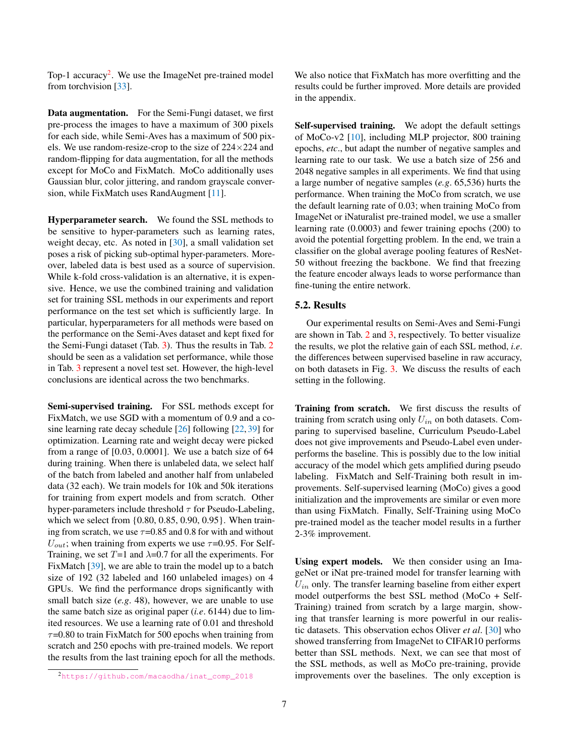<span id="page-6-1"></span>Top-1 accuracy<sup>[2](#page-6-0)</sup>. We use the ImageNet pre-trained model from torchvision [\[33\]](#page-11-31).

Data augmentation. For the Semi-Fungi dataset, we first pre-process the images to have a maximum of 300 pixels for each side, while Semi-Aves has a maximum of 500 pixels. We use random-resize-crop to the size of  $224\times224$  and random-flipping for data augmentation, for all the methods except for MoCo and FixMatch. MoCo additionally uses Gaussian blur, color jittering, and random grayscale conversion, while FixMatch uses RandAugment [\[11\]](#page-10-8).

Hyperparameter search. We found the SSL methods to be sensitive to hyper-parameters such as learning rates, weight decay, etc. As noted in [\[30\]](#page-11-7), a small validation set poses a risk of picking sub-optimal hyper-parameters. Moreover, labeled data is best used as a source of supervision. While k-fold cross-validation is an alternative, it is expensive. Hence, we use the combined training and validation set for training SSL methods in our experiments and report performance on the test set which is sufficiently large. In particular, hyperparameters for all methods were based on the performance on the Semi-Aves dataset and kept fixed for the Semi-Fungi dataset (Tab. [3\)](#page-5-1). Thus the results in Tab. [2](#page-5-0) should be seen as a validation set performance, while those in Tab. [3](#page-5-1) represent a novel test set. However, the high-level conclusions are identical across the two benchmarks.

Semi-supervised training. For SSL methods except for FixMatch, we use SGD with a momentum of 0.9 and a cosine learning rate decay schedule [\[26\]](#page-11-32) following [\[22,](#page-11-33) [39\]](#page-11-5) for optimization. Learning rate and weight decay were picked from a range of [0.03, 0.0001]. We use a batch size of 64 during training. When there is unlabeled data, we select half of the batch from labeled and another half from unlabeled data (32 each). We train models for 10k and 50k iterations for training from expert models and from scratch. Other hyper-parameters include threshold  $\tau$  for Pseudo-Labeling, which we select from {0.80, 0.85, 0.90, 0.95}. When training from scratch, we use  $\tau$ =0.85 and 0.8 for with and without  $U_{out}$ ; when training from experts we use  $\tau$ =0.95. For Self-Training, we set  $T=1$  and  $\lambda=0.7$  for all the experiments. For FixMatch [\[39\]](#page-11-5), we are able to train the model up to a batch size of 192 (32 labeled and 160 unlabeled images) on 4 GPUs. We find the performance drops significantly with small batch size (*e.g*. 48), however, we are unable to use the same batch size as original paper (*i.e*. 6144) due to limited resources. We use a learning rate of 0.01 and threshold  $\tau$ =0.80 to train FixMatch for 500 epochs when training from scratch and 250 epochs with pre-trained models. We report the results from the last training epoch for all the methods. We also notice that FixMatch has more overfitting and the results could be further improved. More details are provided in the appendix.

Self-supervised training. We adopt the default settings of MoCo-v2 [\[10\]](#page-10-16), including MLP projector, 800 training epochs, *etc*., but adapt the number of negative samples and learning rate to our task. We use a batch size of 256 and 2048 negative samples in all experiments. We find that using a large number of negative samples (*e.g*. 65,536) hurts the performance. When training the MoCo from scratch, we use the default learning rate of 0.03; when training MoCo from ImageNet or iNaturalist pre-trained model, we use a smaller learning rate (0.0003) and fewer training epochs (200) to avoid the potential forgetting problem. In the end, we train a classifier on the global average pooling features of ResNet-50 without freezing the backbone. We find that freezing the feature encoder always leads to worse performance than fine-tuning the entire network.

### 5.2. Results

Our experimental results on Semi-Aves and Semi-Fungi are shown in Tab. [2](#page-5-0) and [3,](#page-5-1) respectively. To better visualize the results, we plot the relative gain of each SSL method, *i.e*. the differences between supervised baseline in raw accuracy, on both datasets in Fig. [3.](#page-7-0) We discuss the results of each setting in the following.

Training from scratch. We first discuss the results of training from scratch using only  $U_{in}$  on both datasets. Comparing to supervised baseline, Curriculum Pseudo-Label does not give improvements and Pseudo-Label even underperforms the baseline. This is possibly due to the low initial accuracy of the model which gets amplified during pseudo labeling. FixMatch and Self-Training both result in improvements. Self-supervised learning (MoCo) gives a good initialization and the improvements are similar or even more than using FixMatch. Finally, Self-Training using MoCo pre-trained model as the teacher model results in a further 2-3% improvement.

Using expert models. We then consider using an ImageNet or iNat pre-trained model for transfer learning with  $U_{in}$  only. The transfer learning baseline from either expert model outperforms the best SSL method (MoCo + Self-Training) trained from scratch by a large margin, showing that transfer learning is more powerful in our realistic datasets. This observation echos Oliver *et al*. [\[30\]](#page-11-7) who showed transferring from ImageNet to CIFAR10 performs better than SSL methods. Next, we can see that most of the SSL methods, as well as MoCo pre-training, provide improvements over the baselines. The only exception is

<span id="page-6-0"></span><sup>2</sup>[https://github.com/macaodha/inat\\_comp\\_2018](https://github.com/macaodha/inat_comp_2018)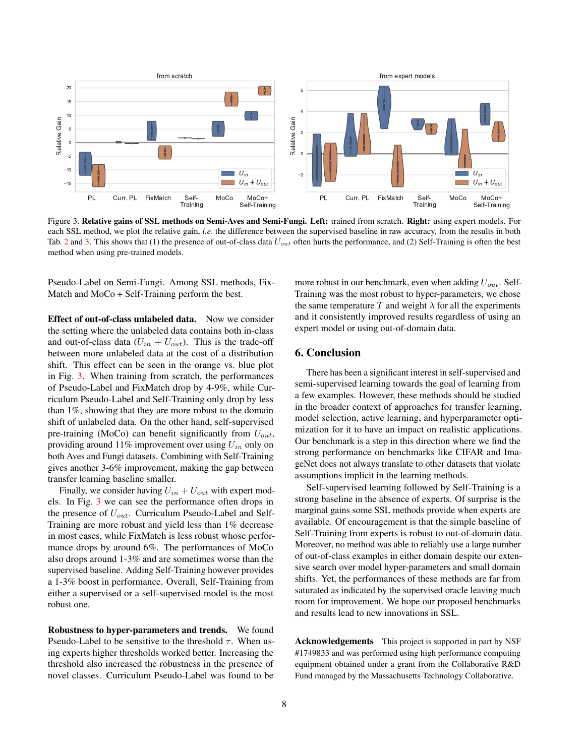

<span id="page-7-0"></span>Figure 3. Relative gains of SSL methods on Semi-Aves and Semi-Fungi. Left: trained from scratch. Right: using expert models. For each SSL method, we plot the relative gain, *i.e*. the difference between the supervised baseline in raw accuracy, from the results in both Tab. [2](#page-5-0) and [3.](#page-5-1) This shows that (1) the presence of out-of-class data  $U_{out}$  often hurts the performance, and (2) Self-Training is often the best method when using pre-trained models.

Pseudo-Label on Semi-Fungi. Among SSL methods, Fix-Match and MoCo + Self-Training perform the best.

Effect of out-of-class unlabeled data. Now we consider the setting where the unlabeled data contains both in-class and out-of-class data  $(U_{in} + U_{out})$ . This is the trade-off between more unlabeled data at the cost of a distribution shift. This effect can be seen in the orange vs. blue plot in Fig. [3.](#page-7-0) When training from scratch, the performances of Pseudo-Label and FixMatch drop by 4-9%, while Curriculum Pseudo-Label and Self-Training only drop by less than 1%, showing that they are more robust to the domain shift of unlabeled data. On the other hand, self-supervised pre-training (MoCo) can benefit significantly from  $U_{out}$ , providing around 11% improvement over using  $U_{in}$  only on both Aves and Fungi datasets. Combining with Self-Training gives another 3-6% improvement, making the gap between transfer learning baseline smaller.

Finally, we consider having  $U_{in} + U_{out}$  with expert models. In Fig. [3](#page-7-0) we can see the performance often drops in the presence of  $U_{out}$ . Curriculum Pseudo-Label and Self-Training are more robust and yield less than 1% decrease in most cases, while FixMatch is less robust whose performance drops by around 6%. The performances of MoCo also drops around 1-3% and are sometimes worse than the supervised baseline. Adding Self-Training however provides a 1-3% boost in performance. Overall, Self-Training from either a supervised or a self-supervised model is the most robust one.

Robustness to hyper-parameters and trends. We found Pseudo-Label to be sensitive to the threshold  $\tau$ . When using experts higher thresholds worked better. Increasing the threshold also increased the robustness in the presence of novel classes. Curriculum Pseudo-Label was found to be

more robust in our benchmark, even when adding  $U_{out}$ . Self-Training was the most robust to hyper-parameters, we chose the same temperature T and weight  $\lambda$  for all the experiments and it consistently improved results regardless of using an expert model or using out-of-domain data.

# 6. Conclusion

There has been a significant interest in self-supervised and semi-supervised learning towards the goal of learning from a few examples. However, these methods should be studied in the broader context of approaches for transfer learning, model selection, active learning, and hyperparameter optimization for it to have an impact on realistic applications. Our benchmark is a step in this direction where we find the strong performance on benchmarks like CIFAR and ImageNet does not always translate to other datasets that violate assumptions implicit in the learning methods.

Self-supervised learning followed by Self-Training is a strong baseline in the absence of experts. Of surprise is the marginal gains some SSL methods provide when experts are available. Of encouragement is that the simple baseline of Self-Training from experts is robust to out-of-domain data. Moreover, no method was able to reliably use a large number of out-of-class examples in either domain despite our extensive search over model hyper-parameters and small domain shifts. Yet, the performances of these methods are far from saturated as indicated by the supervised oracle leaving much room for improvement. We hope our proposed benchmarks and results lead to new innovations in SSL.

Acknowledgements This project is supported in part by NSF #1749833 and was performed using high performance computing equipment obtained under a grant from the Collaborative R&D Fund managed by the Massachusetts Technology Collaborative.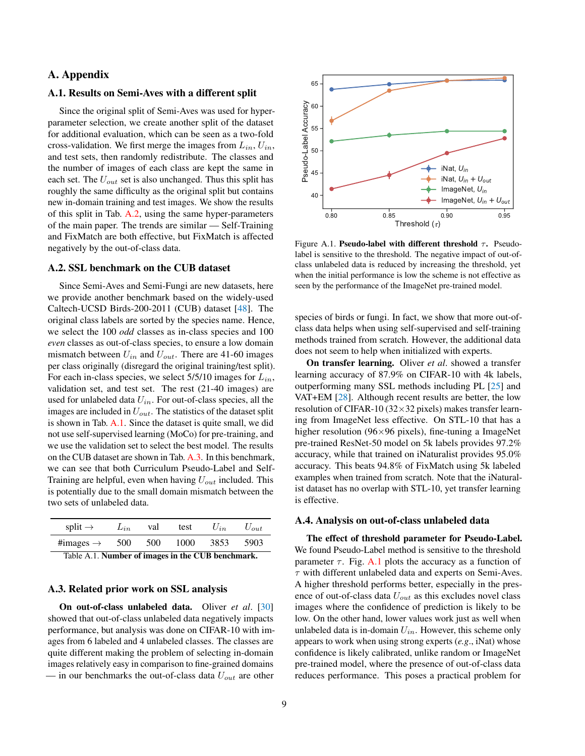# <span id="page-8-2"></span>A. Appendix

### A.1. Results on Semi-Aves with a different split

Since the original split of Semi-Aves was used for hyperparameter selection, we create another split of the dataset for additional evaluation, which can be seen as a two-fold cross-validation. We first merge the images from  $L_{in}$ ,  $U_{in}$ , and test sets, then randomly redistribute. The classes and the number of images of each class are kept the same in each set. The  $U_{out}$  set is also unchanged. Thus this split has roughly the same difficulty as the original split but contains new in-domain training and test images. We show the results of this split in Tab. [A.2,](#page-9-0) using the same hyper-parameters of the main paper. The trends are similar — Self-Training and FixMatch are both effective, but FixMatch is affected negatively by the out-of-class data.

# A.2. SSL benchmark on the CUB dataset

Since Semi-Aves and Semi-Fungi are new datasets, here we provide another benchmark based on the widely-used Caltech-UCSD Birds-200-2011 (CUB) dataset [\[48\]](#page-11-3). The original class labels are sorted by the species name. Hence, we select the 100 *odd* classes as in-class species and 100 *even* classes as out-of-class species, to ensure a low domain mismatch between  $U_{in}$  and  $U_{out}$ . There are 41-60 images per class originally (disregard the original training/test split). For each in-class species, we select  $5/5/10$  images for  $L_{in}$ , validation set, and test set. The rest (21-40 images) are used for unlabeled data  $U_{in}$ . For out-of-class species, all the images are included in  $U_{out}$ . The statistics of the dataset split is shown in Tab. [A.1.](#page-8-0) Since the dataset is quite small, we did not use self-supervised learning (MoCo) for pre-training, and we use the validation set to select the best model. The results on the CUB dataset are shown in Tab. [A.3.](#page-9-1) In this benchmark, we can see that both Curriculum Pseudo-Label and Self-Training are helpful, even when having  $U_{out}$  included. This is potentially due to the small domain mismatch between the two sets of unlabeled data.

<span id="page-8-0"></span>

| split $\rightarrow$                               | $L_{in}$ | val | test | $U_{in}$ | $U_{out}$ |  |  |
|---------------------------------------------------|----------|-----|------|----------|-----------|--|--|
| #images $\rightarrow$                             | 500      | 500 | 1000 | 3853     | 5903      |  |  |
| Table A.1. Number of images in the CUB benchmark. |          |     |      |          |           |  |  |

#### A.3. Related prior work on SSL analysis

On out-of-class unlabeled data. Oliver *et al*. [\[30\]](#page-11-7) showed that out-of-class unlabeled data negatively impacts performance, but analysis was done on CIFAR-10 with images from 6 labeled and 4 unlabeled classes. The classes are quite different making the problem of selecting in-domain images relatively easy in comparison to fine-grained domains — in our benchmarks the out-of-class data  $U_{out}$  are other



<span id="page-8-1"></span>Figure A.1. **Pseudo-label with different threshold**  $\tau$ **.** Pseudolabel is sensitive to the threshold. The negative impact of out-ofclass unlabeled data is reduced by increasing the threshold, yet when the initial performance is low the scheme is not effective as seen by the performance of the ImageNet pre-trained model.

species of birds or fungi. In fact, we show that more out-ofclass data helps when using self-supervised and self-training methods trained from scratch. However, the additional data does not seem to help when initialized with experts.

On transfer learning. Oliver *et al*. showed a transfer learning accuracy of 87.9% on CIFAR-10 with 4k labels, outperforming many SSL methods including PL [\[25\]](#page-11-4) and VAT+EM [\[28\]](#page-11-18). Although recent results are better, the low resolution of CIFAR-10 (32×32 pixels) makes transfer learning from ImageNet less effective. On STL-10 that has a higher resolution ( $96 \times 96$  pixels), fine-tuning a ImageNet pre-trained ResNet-50 model on 5k labels provides 97.2% accuracy, while that trained on iNaturalist provides 95.0% accuracy. This beats 94.8% of FixMatch using 5k labeled examples when trained from scratch. Note that the iNaturalist dataset has no overlap with STL-10, yet transfer learning is effective.

### A.4. Analysis on out-of-class unlabeled data

The effect of threshold parameter for Pseudo-Label. We found Pseudo-Label method is sensitive to the threshold parameter  $\tau$ . Fig. [A.1](#page-8-1) plots the accuracy as a function of  $\tau$  with different unlabeled data and experts on Semi-Aves. A higher threshold performs better, especially in the presence of out-of-class data  $U_{out}$  as this excludes novel class images where the confidence of prediction is likely to be low. On the other hand, lower values work just as well when unlabeled data is in-domain  $U_{in}$ . However, this scheme only appears to work when using strong experts (*e.g*., iNat) whose confidence is likely calibrated, unlike random or ImageNet pre-trained model, where the presence of out-of-class data reduces performance. This poses a practical problem for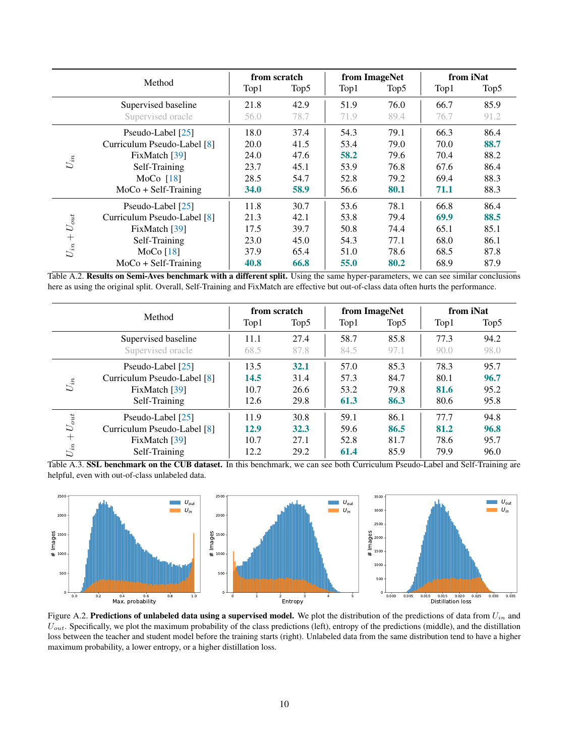<span id="page-9-3"></span>

|            | Method                      |      | from scratch     |      | from ImageNet    |      | from iNat |  |
|------------|-----------------------------|------|------------------|------|------------------|------|-----------|--|
|            |                             | Top1 | Top <sub>5</sub> | Top1 | Top <sub>5</sub> | Top1 | Top5      |  |
|            | Supervised baseline         | 21.8 | 42.9             | 51.9 | 76.0             | 66.7 | 85.9      |  |
|            | Supervised oracle           | 56.0 | 78.7             | 71.9 | 89.4             | 76.7 | 91.2      |  |
|            | Pseudo-Label [25]           | 18.0 | 37.4             | 54.3 | 79.1             | 66.3 | 86.4      |  |
|            | Curriculum Pseudo-Label [8] | 20.0 | 41.5             | 53.4 | 79.0             | 70.0 | 88.7      |  |
| $U_{in}$   | FixMatch [39]               | 24.0 | 47.6             | 58.2 | 79.6             | 70.4 | 88.2      |  |
|            | Self-Training               | 23.7 | 45.1             | 53.9 | 76.8             | 67.6 | 86.4      |  |
|            | MoCo $[18]$                 | 28.5 | 54.7             | 52.8 | 79.2             | 69.4 | 88.3      |  |
|            | $MoCo + Self-Training$      | 34.0 | 58.9             | 56.6 | 80.1             | 71.1 | 88.3      |  |
|            | Pseudo-Label [25]           | 11.8 | 30.7             | 53.6 | 78.1             | 66.8 | 86.4      |  |
| $U_{out}$  | Curriculum Pseudo-Label [8] | 21.3 | 42.1             | 53.8 | 79.4             | 69.9 | 88.5      |  |
| $U_{in}$ + | FixMatch [39]               | 17.5 | 39.7             | 50.8 | 74.4             | 65.1 | 85.1      |  |
|            | Self-Training               | 23.0 | 45.0             | 54.3 | 77.1             | 68.0 | 86.1      |  |
|            | MoCo $[18]$                 | 37.9 | 65.4             | 51.0 | 78.6             | 68.5 | 87.8      |  |
|            | $MoCo + Self-Training$      | 40.8 | 66.8             | 55.0 | 80.2             | 68.9 | 87.9      |  |

<span id="page-9-0"></span>Table A.2. Results on Semi-Aves benchmark with a different split. Using the same hyper-parameters, we can see similar conclusions here as using the original split. Overall, Self-Training and FixMatch are effective but out-of-class data often hurts the performance.

|                                              | Method                                                                             | from scratch                 |                              | from ImageNet                |                              | from iNat                    |                              |
|----------------------------------------------|------------------------------------------------------------------------------------|------------------------------|------------------------------|------------------------------|------------------------------|------------------------------|------------------------------|
|                                              |                                                                                    | Top1                         | Top5                         | Top1                         | Top5                         | Top1                         | Top5                         |
|                                              | Supervised baseline<br>Supervised oracle                                           | 11.1<br>68.5                 | 27.4<br>87.8                 | 58.7<br>84.5                 | 85.8<br>97.1                 | 77.3<br>90.0                 | 94.2<br>98.0                 |
| $\mathcal{U}_{in}$                           | Pseudo-Label [25]<br>Curriculum Pseudo-Label [8]<br>FixMatch [39]<br>Self-Training | 13.5<br>14.5<br>10.7<br>12.6 | 32.1<br>31.4<br>26.6<br>29.8 | 57.0<br>57.3<br>53.2<br>61.3 | 85.3<br>84.7<br>79.8<br>86.3 | 78.3<br>80.1<br>81.6<br>80.6 | 95.7<br>96.7<br>95.2<br>95.8 |
| $U_{out}$<br>$^{+}$<br>$U_{\boldsymbol{in}}$ | Pseudo-Label [25]<br>Curriculum Pseudo-Label [8]<br>FixMatch [39]<br>Self-Training | 11.9<br>12.9<br>10.7<br>12.2 | 30.8<br>32.3<br>27.1<br>29.2 | 59.1<br>59.6<br>52.8<br>61.4 | 86.1<br>86.5<br>81.7<br>85.9 | 77.7<br>81.2<br>78.6<br>79.9 | 94.8<br>96.8<br>95.7<br>96.0 |

<span id="page-9-1"></span>Table A.3. SSL benchmark on the CUB dataset. In this benchmark, we can see both Curriculum Pseudo-Label and Self-Training are helpful, even with out-of-class unlabeled data.



<span id="page-9-2"></span>Figure A.2. Predictions of unlabeled data using a supervised model. We plot the distribution of the predictions of data from  $U_{in}$  and  $U_{out}$ . Specifically, we plot the maximum probability of the class predictions (left), entropy of the predictions (middle), and the distillation loss between the teacher and student model before the training starts (right). Unlabeled data from the same distribution tend to have a higher maximum probability, a lower entropy, or a higher distillation loss.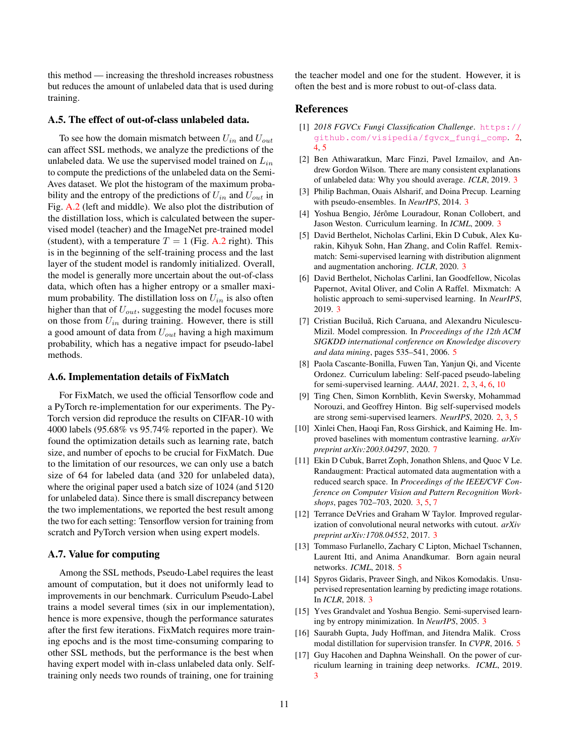this method — increasing the threshold increases robustness but reduces the amount of unlabeled data that is used during training.

#### A.5. The effect of out-of-class unlabeled data.

To see how the domain mismatch between  $U_{in}$  and  $U_{out}$ can affect SSL methods, we analyze the predictions of the unlabeled data. We use the supervised model trained on  $L_{in}$ to compute the predictions of the unlabeled data on the Semi-Aves dataset. We plot the histogram of the maximum probability and the entropy of the predictions of  $U_{in}$  and  $U_{out}$  in Fig. [A.2](#page-9-2) (left and middle). We also plot the distribution of the distillation loss, which is calculated between the supervised model (teacher) and the ImageNet pre-trained model (student), with a temperature  $T = 1$  (Fig. [A.2](#page-9-2) right). This is in the beginning of the self-training process and the last layer of the student model is randomly initialized. Overall, the model is generally more uncertain about the out-of-class data, which often has a higher entropy or a smaller maximum probability. The distillation loss on  $U_{in}$  is also often higher than that of  $U_{out}$ , suggesting the model focuses more on those from  $U_{in}$  during training. However, there is still a good amount of data from  $U_{out}$  having a high maximum probability, which has a negative impact for pseudo-label methods.

#### A.6. Implementation details of FixMatch

For FixMatch, we used the official Tensorflow code and a PyTorch re-implementation for our experiments. The Py-Torch version did reproduce the results on CIFAR-10 with 4000 labels (95.68% vs 95.74% reported in the paper). We found the optimization details such as learning rate, batch size, and number of epochs to be crucial for FixMatch. Due to the limitation of our resources, we can only use a batch size of 64 for labeled data (and 320 for unlabeled data), where the original paper used a batch size of 1024 (and 5120 for unlabeled data). Since there is small discrepancy between the two implementations, we reported the best result among the two for each setting: Tensorflow version for training from scratch and PyTorch version when using expert models.

### A.7. Value for computing

Among the SSL methods, Pseudo-Label requires the least amount of computation, but it does not uniformly lead to improvements in our benchmark. Curriculum Pseudo-Label trains a model several times (six in our implementation), hence is more expensive, though the performance saturates after the first few iterations. FixMatch requires more training epochs and is the most time-consuming comparing to other SSL methods, but the performance is the best when having expert model with in-class unlabeled data only. Selftraining only needs two rounds of training, one for training

the teacher model and one for the student. However, it is often the best and is more robust to out-of-class data.

# References

- <span id="page-10-0"></span>[1] *2018 FGVCx Fungi Classification Challenge*. [https://](https://github.com/visipedia/fgvcx_fungi_comp) [github.com/visipedia/fgvcx\\_fungi\\_comp](https://github.com/visipedia/fgvcx_fungi_comp). [2,](#page-1-1) [4,](#page-3-3) [5](#page-4-2)
- <span id="page-10-7"></span>[2] Ben Athiwaratkun, Marc Finzi, Pavel Izmailov, and Andrew Gordon Wilson. There are many consistent explanations of unlabeled data: Why you should average. *ICLR*, 2019. [3](#page-2-1)
- <span id="page-10-6"></span>[3] Philip Bachman, Ouais Alsharif, and Doina Precup. Learning with pseudo-ensembles. In *NeurIPS*, 2014. [3](#page-2-1)
- <span id="page-10-3"></span>[4] Yoshua Bengio, Jérôme Louradour, Ronan Collobert, and Jason Weston. Curriculum learning. In *ICML*, 2009. [3](#page-2-1)
- <span id="page-10-11"></span>[5] David Berthelot, Nicholas Carlini, Ekin D Cubuk, Alex Kurakin, Kihyuk Sohn, Han Zhang, and Colin Raffel. Remixmatch: Semi-supervised learning with distribution alignment and augmentation anchoring. *ICLR*, 2020. [3](#page-2-1)
- <span id="page-10-10"></span>[6] David Berthelot, Nicholas Carlini, Ian Goodfellow, Nicolas Papernot, Avital Oliver, and Colin A Raffel. Mixmatch: A holistic approach to semi-supervised learning. In *NeurIPS*, 2019. [3](#page-2-1)
- <span id="page-10-13"></span>[7] Cristian Buciluă, Rich Caruana, and Alexandru Niculescu-Mizil. Model compression. In *Proceedings of the 12th ACM SIGKDD international conference on Knowledge discovery and data mining*, pages 535–541, 2006. [5](#page-4-2)
- <span id="page-10-1"></span>[8] Paola Cascante-Bonilla, Fuwen Tan, Yanjun Qi, and Vicente Ordonez. Curriculum labeling: Self-paced pseudo-labeling for semi-supervised learning. *AAAI*, 2021. [2,](#page-1-1) [3,](#page-2-1) [4,](#page-3-3) [6,](#page-5-2) [10](#page-9-3)
- <span id="page-10-2"></span>[9] Ting Chen, Simon Kornblith, Kevin Swersky, Mohammad Norouzi, and Geoffrey Hinton. Big self-supervised models are strong semi-supervised learners. *NeurIPS*, 2020. [2,](#page-1-1) [3,](#page-2-1) [5](#page-4-2)
- <span id="page-10-16"></span>[10] Xinlei Chen, Haoqi Fan, Ross Girshick, and Kaiming He. Improved baselines with momentum contrastive learning. *arXiv preprint arXiv:2003.04297*, 2020. [7](#page-6-1)
- <span id="page-10-8"></span>[11] Ekin D Cubuk, Barret Zoph, Jonathon Shlens, and Quoc V Le. Randaugment: Practical automated data augmentation with a reduced search space. In *Proceedings of the IEEE/CVF Conference on Computer Vision and Pattern Recognition Workshops*, pages 702–703, 2020. [3,](#page-2-1) [5,](#page-4-2) [7](#page-6-1)
- <span id="page-10-9"></span>[12] Terrance DeVries and Graham W Taylor. Improved regularization of convolutional neural networks with cutout. *arXiv preprint arXiv:1708.04552*, 2017. [3](#page-2-1)
- <span id="page-10-14"></span>[13] Tommaso Furlanello, Zachary C Lipton, Michael Tschannen, Laurent Itti, and Anima Anandkumar. Born again neural networks. *ICML*, 2018. [5](#page-4-2)
- <span id="page-10-12"></span>[14] Spyros Gidaris, Praveer Singh, and Nikos Komodakis. Unsupervised representation learning by predicting image rotations. In *ICLR*, 2018. [3](#page-2-1)
- <span id="page-10-5"></span>[15] Yves Grandvalet and Yoshua Bengio. Semi-supervised learning by entropy minimization. In *NeurIPS*, 2005. [3](#page-2-1)
- <span id="page-10-15"></span>[16] Saurabh Gupta, Judy Hoffman, and Jitendra Malik. Cross modal distillation for supervision transfer. In *CVPR*, 2016. [5](#page-4-2)
- <span id="page-10-4"></span>[17] Guy Hacohen and Daphna Weinshall. On the power of curriculum learning in training deep networks. *ICML*, 2019. [3](#page-2-1)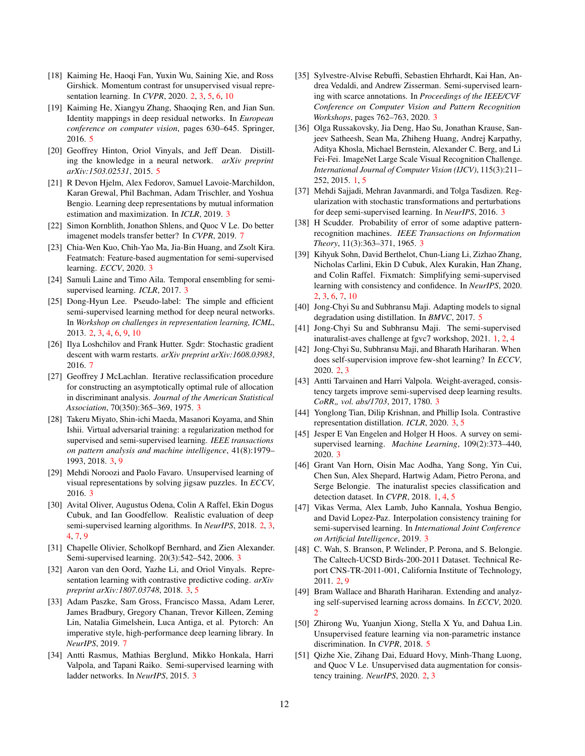- <span id="page-11-6"></span>[18] Kaiming He, Haoqi Fan, Yuxin Wu, Saining Xie, and Ross Girshick. Momentum contrast for unsupervised visual representation learning. In *CVPR*, 2020. [2,](#page-1-1) [3,](#page-2-1) [5,](#page-4-2) [6,](#page-5-2) [10](#page-9-3)
- <span id="page-11-30"></span>[19] Kaiming He, Xiangyu Zhang, Shaoqing Ren, and Jian Sun. Identity mappings in deep residual networks. In *European conference on computer vision*, pages 630–645. Springer, 2016. [5](#page-4-2)
- <span id="page-11-27"></span>[20] Geoffrey Hinton, Oriol Vinyals, and Jeff Dean. Distilling the knowledge in a neural network. *arXiv preprint arXiv:1503.02531*, 2015. [5](#page-4-2)
- <span id="page-11-24"></span>[21] R Devon Hjelm, Alex Fedorov, Samuel Lavoie-Marchildon, Karan Grewal, Phil Bachman, Adam Trischler, and Yoshua Bengio. Learning deep representations by mutual information estimation and maximization. In *ICLR*, 2019. [3](#page-2-1)
- <span id="page-11-33"></span>[22] Simon Kornblith, Jonathon Shlens, and Quoc V Le. Do better imagenet models transfer better? In *CVPR*, 2019. [7](#page-6-1)
- <span id="page-11-20"></span>[23] Chia-Wen Kuo, Chih-Yao Ma, Jia-Bin Huang, and Zsolt Kira. Featmatch: Feature-based augmentation for semi-supervised learning. *ECCV*, 2020. [3](#page-2-1)
- <span id="page-11-15"></span>[24] Samuli Laine and Timo Aila. Temporal ensembling for semisupervised learning. *ICLR*, 2017. [3](#page-2-1)
- <span id="page-11-4"></span>[25] Dong-Hyun Lee. Pseudo-label: The simple and efficient semi-supervised learning method for deep neural networks. In *Workshop on challenges in representation learning, ICML*, 2013. [2,](#page-1-1) [3,](#page-2-1) [4,](#page-3-3) [6,](#page-5-2) [9,](#page-8-2) [10](#page-9-3)
- <span id="page-11-32"></span>[26] Ilya Loshchilov and Frank Hutter. Sgdr: Stochastic gradient descent with warm restarts. *arXiv preprint arXiv:1608.03983*, 2016. [7](#page-6-1)
- <span id="page-11-13"></span>[27] Geoffrey J McLachlan. Iterative reclassification procedure for constructing an asymptotically optimal rule of allocation in discriminant analysis. *Journal of the American Statistical Association*, 70(350):365–369, 1975. [3](#page-2-1)
- <span id="page-11-18"></span>[28] Takeru Miyato, Shin-ichi Maeda, Masanori Koyama, and Shin Ishii. Virtual adversarial training: a regularization method for supervised and semi-supervised learning. *IEEE transactions on pattern analysis and machine intelligence*, 41(8):1979– 1993, 2018. [3,](#page-2-1) [9](#page-8-2)
- <span id="page-11-22"></span>[29] Mehdi Noroozi and Paolo Favaro. Unsupervised learning of visual representations by solving jigsaw puzzles. In *ECCV*, 2016. [3](#page-2-1)
- <span id="page-11-7"></span>[30] Avital Oliver, Augustus Odena, Colin A Raffel, Ekin Dogus Cubuk, and Ian Goodfellow. Realistic evaluation of deep semi-supervised learning algorithms. In *NeurIPS*, 2018. [2,](#page-1-1) [3,](#page-2-1) [4,](#page-3-3) [7,](#page-6-1) [9](#page-8-2)
- <span id="page-11-11"></span>[31] Chapelle Olivier, Scholkopf Bernhard, and Zien Alexander. Semi-supervised learning. 20(3):542–542, 2006. [3](#page-2-1)
- <span id="page-11-25"></span>[32] Aaron van den Oord, Yazhe Li, and Oriol Vinyals. Representation learning with contrastive predictive coding. *arXiv preprint arXiv:1807.03748*, 2018. [3,](#page-2-1) [5](#page-4-2)
- <span id="page-11-31"></span>[33] Adam Paszke, Sam Gross, Francisco Massa, Adam Lerer, James Bradbury, Gregory Chanan, Trevor Killeen, Zeming Lin, Natalia Gimelshein, Luca Antiga, et al. Pytorch: An imperative style, high-performance deep learning library. In *NeurIPS*, 2019. [7](#page-6-1)
- <span id="page-11-16"></span>[34] Antti Rasmus, Mathias Berglund, Mikko Honkala, Harri Valpola, and Tapani Raiko. Semi-supervised learning with ladder networks. In *NeurIPS*, 2015. [3](#page-2-1)
- <span id="page-11-23"></span>[35] Sylvestre-Alvise Rebuffi, Sebastien Ehrhardt, Kai Han, Andrea Vedaldi, and Andrew Zisserman. Semi-supervised learning with scarce annotations. In *Proceedings of the IEEE/CVF Conference on Computer Vision and Pattern Recognition Workshops*, pages 762–763, 2020. [3](#page-2-1)
- <span id="page-11-0"></span>[36] Olga Russakovsky, Jia Deng, Hao Su, Jonathan Krause, Sanjeev Satheesh, Sean Ma, Zhiheng Huang, Andrej Karpathy, Aditya Khosla, Michael Bernstein, Alexander C. Berg, and Li Fei-Fei. ImageNet Large Scale Visual Recognition Challenge. *International Journal of Computer Vision (IJCV)*, 115(3):211– 252, 2015. [1,](#page-0-1) [5](#page-4-2)
- <span id="page-11-17"></span>[37] Mehdi Sajjadi, Mehran Javanmardi, and Tolga Tasdizen. Regularization with stochastic transformations and perturbations for deep semi-supervised learning. In *NeurIPS*, 2016. [3](#page-2-1)
- <span id="page-11-14"></span>[38] H Scudder. Probability of error of some adaptive patternrecognition machines. *IEEE Transactions on Information Theory*, 11(3):363–371, 1965. [3](#page-2-1)
- <span id="page-11-5"></span>[39] Kihyuk Sohn, David Berthelot, Chun-Liang Li, Zizhao Zhang, Nicholas Carlini, Ekin D Cubuk, Alex Kurakin, Han Zhang, and Colin Raffel. Fixmatch: Simplifying semi-supervised learning with consistency and confidence. In *NeurIPS*, 2020. [2,](#page-1-1) [3,](#page-2-1) [6,](#page-5-2) [7,](#page-6-1) [10](#page-9-3)
- <span id="page-11-28"></span>[40] Jong-Chyi Su and Subhransu Maji. Adapting models to signal degradation using distillation. In *BMVC*, 2017. [5](#page-4-2)
- <span id="page-11-2"></span>[41] Jong-Chyi Su and Subhransu Maji. The semi-supervised inaturalist-aves challenge at fgvc7 workshop, 2021. [1,](#page-0-1) [2,](#page-1-1) [4](#page-3-3)
- <span id="page-11-9"></span>[42] Jong-Chyi Su, Subhransu Maji, and Bharath Hariharan. When does self-supervision improve few-shot learning? In *ECCV*, 2020. [2,](#page-1-1) [3](#page-2-1)
- <span id="page-11-19"></span>[43] Antti Tarvainen and Harri Valpola. Weight-averaged, consistency targets improve semi-supervised deep learning results. *CoRR" vol. abs/1703*, 2017, 1780. [3](#page-2-1)
- <span id="page-11-26"></span>[44] Yonglong Tian, Dilip Krishnan, and Phillip Isola. Contrastive representation distillation. *ICLR*, 2020. [3,](#page-2-1) [5](#page-4-2)
- <span id="page-11-12"></span>[45] Jesper E Van Engelen and Holger H Hoos. A survey on semisupervised learning. *Machine Learning*, 109(2):373–440, 2020. [3](#page-2-1)
- <span id="page-11-1"></span>[46] Grant Van Horn, Oisin Mac Aodha, Yang Song, Yin Cui, Chen Sun, Alex Shepard, Hartwig Adam, Pietro Perona, and Serge Belongie. The inaturalist species classification and detection dataset. In *CVPR*, 2018. [1,](#page-0-1) [4,](#page-3-3) [5](#page-4-2)
- <span id="page-11-21"></span>[47] Vikas Verma, Alex Lamb, Juho Kannala, Yoshua Bengio, and David Lopez-Paz. Interpolation consistency training for semi-supervised learning. In *International Joint Conference on Artificial Intelligence*, 2019. [3](#page-2-1)
- <span id="page-11-3"></span>[48] C. Wah, S. Branson, P. Welinder, P. Perona, and S. Belongie. The Caltech-UCSD Birds-200-2011 Dataset. Technical Report CNS-TR-2011-001, California Institute of Technology, 2011. [2,](#page-1-1) [9](#page-8-2)
- <span id="page-11-10"></span>[49] Bram Wallace and Bharath Hariharan. Extending and analyzing self-supervised learning across domains. In *ECCV*, 2020. [2](#page-1-1)
- <span id="page-11-29"></span>[50] Zhirong Wu, Yuanjun Xiong, Stella X Yu, and Dahua Lin. Unsupervised feature learning via non-parametric instance discrimination. In *CVPR*, 2018. [5](#page-4-2)
- <span id="page-11-8"></span>[51] Qizhe Xie, Zihang Dai, Eduard Hovy, Minh-Thang Luong, and Quoc V Le. Unsupervised data augmentation for consistency training. *NeurIPS*, 2020. [2,](#page-1-1) [3](#page-2-1)